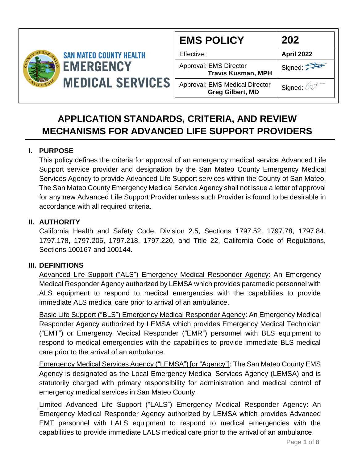

| <b>EMS POLICY</b>                                                | 202        |
|------------------------------------------------------------------|------------|
| Effective:                                                       | April 2022 |
| Approval: EMS Director<br><b>Travis Kusman, MPH</b>              | Signed:    |
| <b>Approval: EMS Medical Director</b><br><b>Greg Gilbert, MD</b> | Signed:    |

# **APPLICATION STANDARDS, CRITERIA, AND REVIEW MECHANISMS FOR ADVANCED LIFE SUPPORT PROVIDERS**

## **I. PURPOSE**

This policy defines the criteria for approval of an emergency medical service Advanced Life Support service provider and designation by the San Mateo County Emergency Medical Services Agency to provide Advanced Life Support services within the County of San Mateo. The San Mateo County Emergency Medical Service Agency shall not issue a letter of approval for any new Advanced Life Support Provider unless such Provider is found to be desirable in accordance with all required criteria.

## **II. AUTHORITY**

California Health and Safety Code, Division 2.5, Sections 1797.52, 1797.78, 1797.84, 1797.178, 1797.206, 1797.218, 1797.220, and Title 22, California Code of Regulations, Sections 100167 and 100144.

## **III. DEFINITIONS**

Advanced Life Support ("ALS") Emergency Medical Responder Agency: An Emergency Medical Responder Agency authorized by LEMSA which provides paramedic personnel with ALS equipment to respond to medical emergencies with the capabilities to provide immediate ALS medical care prior to arrival of an ambulance.

Basic Life Support ("BLS") Emergency Medical Responder Agency: An Emergency Medical Responder Agency authorized by LEMSA which provides Emergency Medical Technician ("EMT") or Emergency Medical Responder ("EMR") personnel with BLS equipment to respond to medical emergencies with the capabilities to provide immediate BLS medical care prior to the arrival of an ambulance.

Emergency Medical Services Agency ("LEMSA") [or "Agency"]: The San Mateo County EMS Agency is designated as the Local Emergency Medical Services Agency (LEMSA) and is statutorily charged with primary responsibility for administration and medical control of emergency medical services in San Mateo County.

Limited Advanced Life Support ("LALS") Emergency Medical Responder Agency: An Emergency Medical Responder Agency authorized by LEMSA which provides Advanced EMT personnel with LALS equipment to respond to medical emergencies with the capabilities to provide immediate LALS medical care prior to the arrival of an ambulance.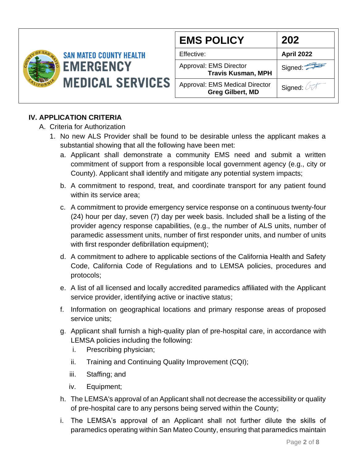

| <b>EMS POLICY</b>                                          | 202               |
|------------------------------------------------------------|-------------------|
| Effective:                                                 | <b>April 2022</b> |
| <b>Approval: EMS Director</b><br><b>Travis Kusman, MPH</b> | Signed:           |
| Approval: EMS Medical Director<br><b>Greg Gilbert, MD</b>  | Signed: 4         |

# **IV. APPLICATION CRITERIA**

#### A. Criteria for Authorization

- 1. No new ALS Provider shall be found to be desirable unless the applicant makes a substantial showing that all the following have been met:
	- a. Applicant shall demonstrate a community EMS need and submit a written commitment of support from a responsible local government agency (e.g., city or County). Applicant shall identify and mitigate any potential system impacts;
	- b. A commitment to respond, treat, and coordinate transport for any patient found within its service area;
	- c. A commitment to provide emergency service response on a continuous twenty-four (24) hour per day, seven (7) day per week basis. Included shall be a listing of the provider agency response capabilities, (e.g., the number of ALS units, number of paramedic assessment units, number of first responder units, and number of units with first responder defibrillation equipment);
	- d. A commitment to adhere to applicable sections of the California Health and Safety Code, California Code of Regulations and to LEMSA policies, procedures and protocols;
	- e. A list of all licensed and locally accredited paramedics affiliated with the Applicant service provider, identifying active or inactive status;
	- f. Information on geographical locations and primary response areas of proposed service units;
	- g. Applicant shall furnish a high-quality plan of pre-hospital care, in accordance with LEMSA policies including the following:
		- i. Prescribing physician;
		- ii. Training and Continuing Quality Improvement (CQI);
		- iii. Staffing; and
		- iv. Equipment;
	- h. The LEMSA's approval of an Applicant shall not decrease the accessibility or quality of pre-hospital care to any persons being served within the County;
	- i. The LEMSA's approval of an Applicant shall not further dilute the skills of paramedics operating within San Mateo County, ensuring that paramedics maintain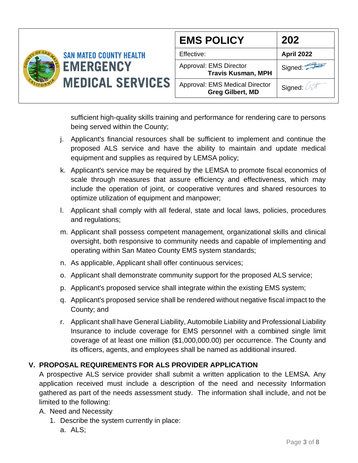|                                                                               | <b>EMS POLICY</b>                                         | 202               |
|-------------------------------------------------------------------------------|-----------------------------------------------------------|-------------------|
| <b>SAN MATEO COUNTY HEALTH</b><br><b>EMERGENCY</b><br><b>MEDICAL SERVICES</b> | Effective:                                                | <b>April 2022</b> |
|                                                                               | Approval: EMS Director<br><b>Travis Kusman, MPH</b>       | Signed:           |
|                                                                               | Approval: EMS Medical Director<br><b>Greg Gilbert, MD</b> | Signed:           |

sufficient high-quality skills training and performance for rendering care to persons being served within the County;

- j. Applicant's financial resources shall be sufficient to implement and continue the proposed ALS service and have the ability to maintain and update medical equipment and supplies as required by LEMSA policy;
- k. Applicant's service may be required by the LEMSA to promote fiscal economics of scale through measures that assure efficiency and effectiveness, which may include the operation of joint, or cooperative ventures and shared resources to optimize utilization of equipment and manpower;
- l. Applicant shall comply with all federal, state and local laws, policies, procedures and regulations;
- m. Applicant shall possess competent management, organizational skills and clinical oversight, both responsive to community needs and capable of implementing and operating within San Mateo County EMS system standards;
- n. As applicable, Applicant shall offer continuous services;
- o. Applicant shall demonstrate community support for the proposed ALS service;
- p. Applicant's proposed service shall integrate within the existing EMS system;
- q. Applicant's proposed service shall be rendered without negative fiscal impact to the County; and
- r. Applicant shall have General Liability, Automobile Liability and Professional Liability Insurance to include coverage for EMS personnel with a combined single limit coverage of at least one million (\$1,000,000.00) per occurrence. The County and its officers, agents, and employees shall be named as additional insured.

# **V. PROPOSAL REQUIREMENTS FOR ALS PROVIDER APPLICATION**

A prospective ALS service provider shall submit a written application to the LEMSA. Any application received must include a description of the need and necessity Information gathered as part of the needs assessment study. The information shall include, and not be limited to the following:

- A. Need and Necessity
	- 1. Describe the system currently in place:
		- a. ALS;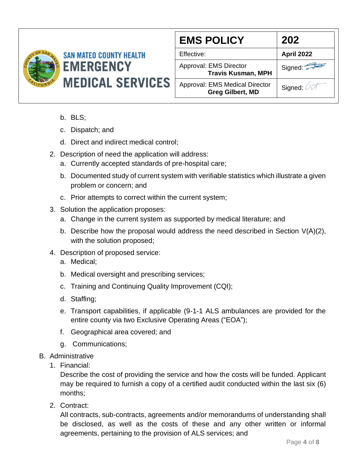

| <b>EMS POLICY</b>                                                | 202               |
|------------------------------------------------------------------|-------------------|
| Effective:                                                       | <b>April 2022</b> |
| Approval: EMS Director<br><b>Travis Kusman, MPH</b>              | Signed:           |
| <b>Approval: EMS Medical Director</b><br><b>Greg Gilbert, MD</b> | Signed: 4         |

- b. BLS;
- c. Dispatch; and
- d. Direct and indirect medical control;
- 2. Description of need the application will address:
	- a. Currently accepted standards of pre-hospital care;
	- b. Documented study of current system with verifiable statistics which illustrate a given problem or concern; and
	- c. Prior attempts to correct within the current system;
- 3. Solution the application proposes:
	- a. Change in the current system as supported by medical literature; and
	- b. Describe how the proposal would address the need described in Section  $V(A)(2)$ , with the solution proposed;
- 4. Description of proposed service:
	- a. Medical;
	- b. Medical oversight and prescribing services;
	- c. Training and Continuing Quality Improvement (CQI);
	- d. Staffing;
	- e. Transport capabilities, if applicable (9-1-1 ALS ambulances are provided for the entire county via two Exclusive Operating Areas ("EOA");
	- f. Geographical area covered; and
	- g. Communications;
- B. Administrative
	- 1. Financial:

Describe the cost of providing the service and how the costs will be funded. Applicant may be required to furnish a copy of a certified audit conducted within the last six (6) months;

2. Contract:

All contracts, sub-contracts, agreements and/or memorandums of understanding shall be disclosed, as well as the costs of these and any other written or informal agreements, pertaining to the provision of ALS services; and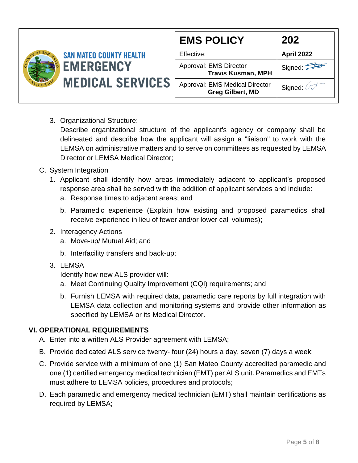| <b>SAN MATEO COUNTY HEALTH</b><br><b>EMERGENCY</b><br><b>MEDICAL SERVICES</b> | <b>EMS POLICY</b>                                   | 202                                                       |
|-------------------------------------------------------------------------------|-----------------------------------------------------|-----------------------------------------------------------|
|                                                                               | Effective:                                          | <b>April 2022</b>                                         |
|                                                                               | Approval: EMS Director<br><b>Travis Kusman, MPH</b> | Signed: $\leq$                                            |
|                                                                               |                                                     | Approval: EMS Medical Director<br><b>Greg Gilbert, MD</b> |

3. Organizational Structure:

Describe organizational structure of the applicant's agency or company shall be delineated and describe how the applicant will assign a "liaison" to work with the LEMSA on administrative matters and to serve on committees as requested by LEMSA Director or LEMSA Medical Director;

- C. System Integration
	- 1. Applicant shall identify how areas immediately adjacent to applicant's proposed response area shall be served with the addition of applicant services and include:
		- a. Response times to adjacent areas; and
		- b. Paramedic experience (Explain how existing and proposed paramedics shall receive experience in lieu of fewer and/or lower call volumes);
	- 2. Interagency Actions
		- a. Move-up/ Mutual Aid; and
		- b. Interfacility transfers and back-up;
	- 3. LEMSA

Identify how new ALS provider will:

- a. Meet Continuing Quality Improvement (CQI) requirements; and
- b. Furnish LEMSA with required data, paramedic care reports by full integration with LEMSA data collection and monitoring systems and provide other information as specified by LEMSA or its Medical Director.

## **VI. OPERATIONAL REQUIREMENTS**

- A. Enter into a written ALS Provider agreement with LEMSA;
- B. Provide dedicated ALS service twenty- four (24) hours a day, seven (7) days a week;
- C. Provide service with a minimum of one (1) San Mateo County accredited paramedic and one (1) certified emergency medical technician (EMT) per ALS unit. Paramedics and EMTs must adhere to LEMSA policies, procedures and protocols;
- D. Each paramedic and emergency medical technician (EMT) shall maintain certifications as required by LEMSA;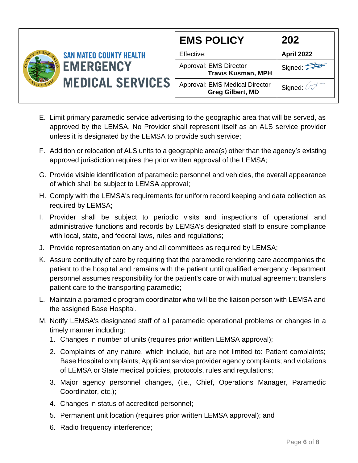

- E. Limit primary paramedic service advertising to the geographic area that will be served, as approved by the LEMSA. No Provider shall represent itself as an ALS service provider unless it is designated by the LEMSA to provide such service;
- F. Addition or relocation of ALS units to a geographic area(s) other than the agency's existing approved jurisdiction requires the prior written approval of the LEMSA;
- G. Provide visible identification of paramedic personnel and vehicles, the overall appearance of which shall be subject to LEMSA approval;
- H. Comply with the LEMSA's requirements for uniform record keeping and data collection as required by LEMSA;
- I. Provider shall be subject to periodic visits and inspections of operational and administrative functions and records by LEMSA's designated staff to ensure compliance with local, state, and federal laws, rules and regulations;
- J. Provide representation on any and all committees as required by LEMSA;
- K. Assure continuity of care by requiring that the paramedic rendering care accompanies the patient to the hospital and remains with the patient until qualified emergency department personnel assumes responsibility for the patient's care or with mutual agreement transfers patient care to the transporting paramedic;
- L. Maintain a paramedic program coordinator who will be the liaison person with LEMSA and the assigned Base Hospital.
- M. Notify LEMSA's designated staff of all paramedic operational problems or changes in a timely manner including:
	- 1. Changes in number of units (requires prior written LEMSA approval);
	- 2. Complaints of any nature, which include, but are not limited to: Patient complaints; Base Hospital complaints; Applicant service provider agency complaints; and violations of LEMSA or State medical policies, protocols, rules and regulations;
	- 3. Major agency personnel changes, (i.e., Chief, Operations Manager, Paramedic Coordinator, etc.);
	- 4. Changes in status of accredited personnel;
	- 5. Permanent unit location (requires prior written LEMSA approval); and
	- 6. Radio frequency interference;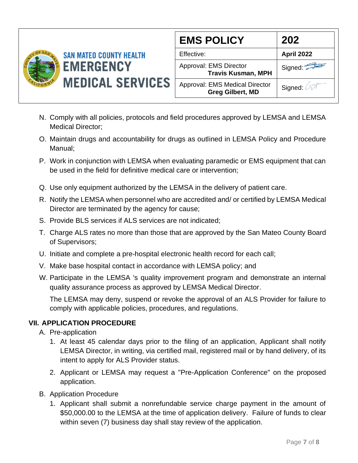

| <b>EMS POLICY</b>                                         | 202        |
|-----------------------------------------------------------|------------|
| Effective:                                                | April 2022 |
| Approval: EMS Director<br><b>Travis Kusman, MPH</b>       | Signed:    |
| Approval: EMS Medical Director<br><b>Greg Gilbert, MD</b> | Signed:    |

- N. Comply with all policies, protocols and field procedures approved by LEMSA and LEMSA Medical Director;
- O. Maintain drugs and accountability for drugs as outlined in LEMSA Policy and Procedure Manual;
- P. Work in conjunction with LEMSA when evaluating paramedic or EMS equipment that can be used in the field for definitive medical care or intervention;
- Q. Use only equipment authorized by the LEMSA in the delivery of patient care.
- R. Notify the LEMSA when personnel who are accredited and/ or certified by LEMSA Medical Director are terminated by the agency for cause;
- S. Provide BLS services if ALS services are not indicated;
- T. Charge ALS rates no more than those that are approved by the San Mateo County Board of Supervisors;
- U. Initiate and complete a pre-hospital electronic health record for each call;
- V. Make base hospital contact in accordance with LEMSA policy; and
- W. Participate in the LEMSA 's quality improvement program and demonstrate an internal quality assurance process as approved by LEMSA Medical Director.

The LEMSA may deny, suspend or revoke the approval of an ALS Provider for failure to comply with applicable policies, procedures, and regulations.

## **VII. APPLICATION PROCEDURE**

- A. Pre-application
	- 1. At least 45 calendar days prior to the filing of an application, Applicant shall notify LEMSA Director, in writing, via certified mail, registered mail or by hand delivery, of its intent to apply for ALS Provider status.
	- 2. Applicant or LEMSA may request a "Pre-Application Conference" on the proposed application.
- B. Application Procedure
	- 1. Applicant shall submit a nonrefundable service charge payment in the amount of \$50,000.00 to the LEMSA at the time of application delivery. Failure of funds to clear within seven (7) business day shall stay review of the application.